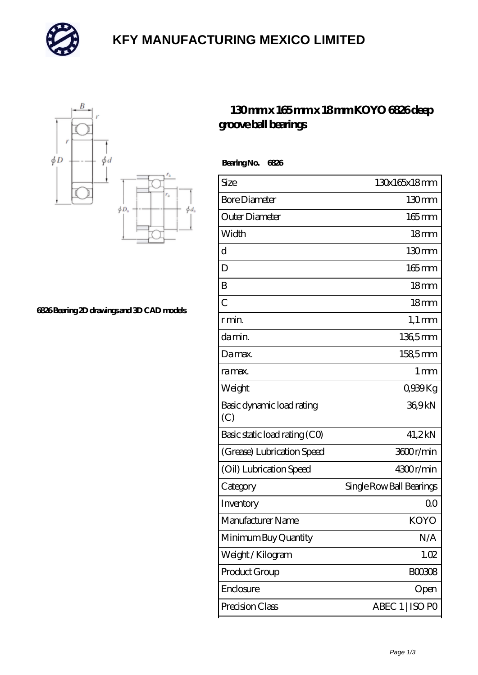

## **[KFY MANUFACTURING MEXICO LIMITED](https://m.mailemotion.tv)**



**[6826 Bearing 2D drawings and 3D CAD models](https://m.mailemotion.tv/pic-412413.html)**

## **[130 mm x 165 mm x 18 mm KOYO 6826 deep](https://m.mailemotion.tv/bd-412413-koyo-6826-deep-groove-ball-bearings.html) [groove ball bearings](https://m.mailemotion.tv/bd-412413-koyo-6826-deep-groove-ball-bearings.html)**

 **Bearing No. 6826**

| Size                             | 130x165x18mm             |
|----------------------------------|--------------------------|
| <b>Bore Diameter</b>             | 130mm                    |
| Outer Diameter                   | $165$ mm                 |
| Width                            | 18 <sub>mm</sub>         |
| d                                | 130 <sub>mm</sub>        |
| D                                | $165 \,\mathrm{mm}$      |
| B                                | 18 <sub>mm</sub>         |
| $\overline{C}$                   | 18 <sub>mm</sub>         |
| r min.                           | $1,1 \text{ mm}$         |
| da min.                          | 136,5mm                  |
| Damax.                           | 1585mm                   |
| ra max.                          | 1 <sub>mm</sub>          |
| Weight                           | 0939Kg                   |
| Basic dynamic load rating<br>(C) | 369kN                    |
| Basic static load rating (CO)    | 41,2kN                   |
| (Grease) Lubrication Speed       | 3600r/min                |
| (Oil) Lubrication Speed          | 4300r/min                |
| Category                         | Single Row Ball Bearings |
| Inventory                        | Q0                       |
| Manufacturer Name                | KOYO                     |
| Minimum Buy Quantity             | N/A                      |
| Weight/Kilogram                  | 1.02                     |
| Product Group                    | <b>BOO3O8</b>            |
| Enclosure                        | Open                     |
| Precision Class                  | ABEC 1   ISO PO          |
|                                  |                          |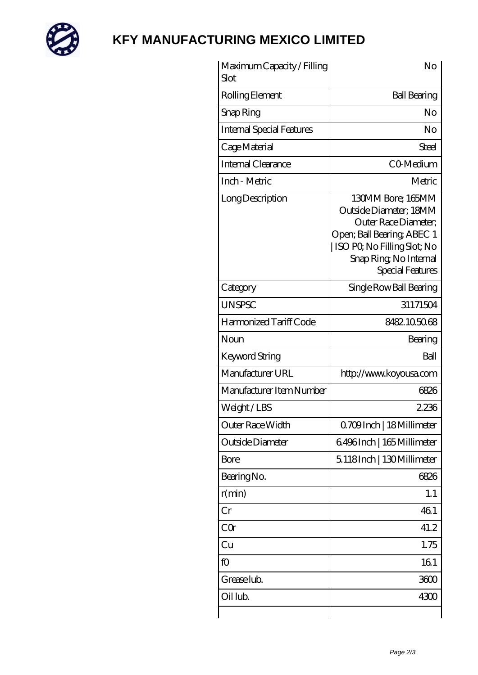

## **[KFY MANUFACTURING MEXICO LIMITED](https://m.mailemotion.tv)**

| Maximum Capacity / Filling<br>Slot | No                                                                                                                                                                            |
|------------------------------------|-------------------------------------------------------------------------------------------------------------------------------------------------------------------------------|
| Rolling Element                    | <b>Ball Bearing</b>                                                                                                                                                           |
| Snap Ring                          | No                                                                                                                                                                            |
| <b>Internal Special Features</b>   | No                                                                                                                                                                            |
| Cage Material                      | Steel                                                                                                                                                                         |
| <b>Internal Clearance</b>          | CO-Medium                                                                                                                                                                     |
| Inch - Metric                      | Metric                                                                                                                                                                        |
| Long Description                   | 130MM Bore; 165MM<br>Outside Diameter; 18MM<br>Outer Race Diameter:<br>Open; Ball Bearing; ABEC 1<br>ISO PQ No Filling Slot; No<br>Snap Ring, No Internal<br>Special Features |
| Category                           | Single Row Ball Bearing                                                                                                                                                       |
| <b>UNSPSC</b>                      | 31171504                                                                                                                                                                      |
| Harmonized Tariff Code             | 8482105068                                                                                                                                                                    |
| Noun                               | Bearing                                                                                                                                                                       |
| <b>Keyword String</b>              | Ball                                                                                                                                                                          |
| Manufacturer URL                   | http://www.koyousa.com                                                                                                                                                        |
| Manufacturer Item Number           | 6826                                                                                                                                                                          |
| Weight/LBS                         | 2236                                                                                                                                                                          |
| Outer Race Width                   | Q709Inch   18Millimeter                                                                                                                                                       |
| Outside Diameter                   | 6496Inch   165 Millimeter                                                                                                                                                     |
| <b>Bore</b>                        | 5118Inch   130Millimeter                                                                                                                                                      |
| Bearing No.                        | 6826                                                                                                                                                                          |
| r(min)                             | 1.1                                                                                                                                                                           |
| Cr                                 | 461                                                                                                                                                                           |
| CQr                                | 41.2                                                                                                                                                                          |
| Cu                                 | 1.75                                                                                                                                                                          |
| fO                                 | 161                                                                                                                                                                           |
| Grease lub.                        | 3600                                                                                                                                                                          |
| Oil lub.                           | 4300                                                                                                                                                                          |